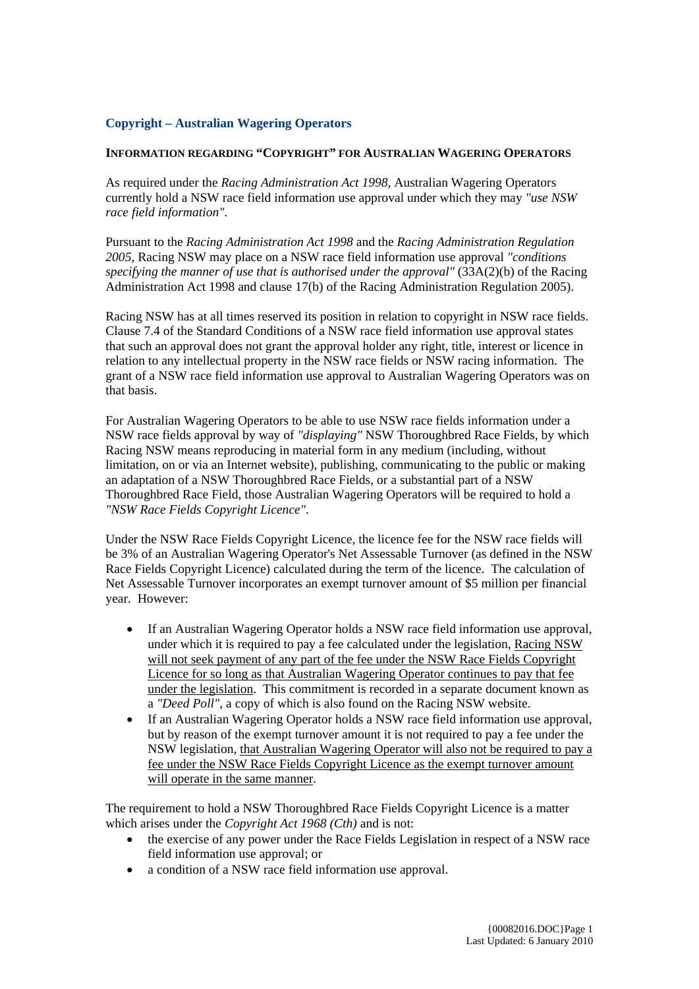## **Copyright – Australian Wagering Operators**

## **INFORMATION REGARDING "COPYRIGHT" FOR AUSTRALIAN WAGERING OPERATORS**

As required under the *Racing Administration Act 1998*, Australian Wagering Operators currently hold a NSW race field information use approval under which they may *"use NSW race field information"*.

Pursuant to the *Racing Administration Act 1998* and the *Racing Administration Regulation 2005*, Racing NSW may place on a NSW race field information use approval *"conditions specifying the manner of use that is authorised under the approval"* (33A(2)(b) of the Racing Administration Act 1998 and clause 17(b) of the Racing Administration Regulation 2005).

Racing NSW has at all times reserved its position in relation to copyright in NSW race fields. Clause 7.4 of the Standard Conditions of a NSW race field information use approval states that such an approval does not grant the approval holder any right, title, interest or licence in relation to any intellectual property in the NSW race fields or NSW racing information. The grant of a NSW race field information use approval to Australian Wagering Operators was on that basis.

For Australian Wagering Operators to be able to use NSW race fields information under a NSW race fields approval by way of *"displaying"* NSW Thoroughbred Race Fields, by which Racing NSW means reproducing in material form in any medium (including, without limitation, on or via an Internet website), publishing, communicating to the public or making an adaptation of a NSW Thoroughbred Race Fields, or a substantial part of a NSW Thoroughbred Race Field, those Australian Wagering Operators will be required to hold a *"NSW Race Fields Copyright Licence"*.

Under the NSW Race Fields Copyright Licence, the licence fee for the NSW race fields will be 3% of an Australian Wagering Operator's Net Assessable Turnover (as defined in the NSW Race Fields Copyright Licence) calculated during the term of the licence. The calculation of Net Assessable Turnover incorporates an exempt turnover amount of \$5 million per financial year. However:

- If an Australian Wagering Operator holds a NSW race field information use approval, under which it is required to pay a fee calculated under the legislation, Racing NSW will not seek payment of any part of the fee under the NSW Race Fields Copyright Licence for so long as that Australian Wagering Operator continues to pay that fee under the legislation. This commitment is recorded in a separate document known as a *"Deed Poll"*, a copy of which is also found on the Racing NSW website.
- If an Australian Wagering Operator holds a NSW race field information use approval, but by reason of the exempt turnover amount it is not required to pay a fee under the NSW legislation, that Australian Wagering Operator will also not be required to pay a fee under the NSW Race Fields Copyright Licence as the exempt turnover amount will operate in the same manner.

The requirement to hold a NSW Thoroughbred Race Fields Copyright Licence is a matter which arises under the *Copyright Act 1968 (Cth)* and is not:

- the exercise of any power under the Race Fields Legislation in respect of a NSW race field information use approval; or
- a condition of a NSW race field information use approval.